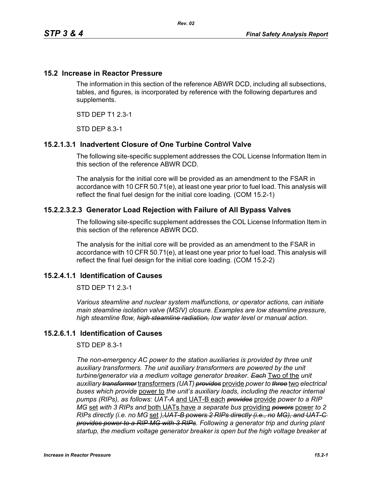#### **15.2 Increase in Reactor Pressure**

The information in this section of the reference ABWR DCD, including all subsections, tables, and figures, is incorporated by reference with the following departures and supplements.

STD DEP T1 2.3-1

STD DEP 8.3-1

### **15.2.1.3.1 Inadvertent Closure of One Turbine Control Valve**

The following site-specific supplement addresses the COL License Information Item in this section of the reference ABWR DCD.

The analysis for the initial core will be provided as an amendment to the FSAR in accordance with 10 CFR 50.71(e), at least one year prior to fuel load. This analysis will reflect the final fuel design for the initial core loading. (COM 15.2-1)

#### **15.2.2.3.2.3 Generator Load Rejection with Failure of All Bypass Valves**

The following site-specific supplement addresses the COL License Information Item in this section of the reference ABWR DCD.

The analysis for the initial core will be provided as an amendment to the FSAR in accordance with 10 CFR 50.71(e), at least one year prior to fuel load. This analysis will reflect the final fuel design for the initial core loading. (COM 15.2-2)

## **15.2.4.1.1 Identification of Causes**

STD DEP T1 2.3-1

*Various steamline and nuclear system malfunctions, or operator actions, can initiate main steamline isolation valve (MSIV) closure. Examples are low steamline pressure, high steamline flow, high steamline radiation, low water level or manual action.*

## **15.2.6.1.1 Identification of Causes**

STD DEP 8.3-1

The non-emergency AC power to the station auxiliaries is provided by three unit *auxiliary transformers. The unit auxiliary transformers are powered by the unit turbine/generator via a medium voltage generator breaker. Each* Two of the *unit auxiliary transformer* transformers *(UAT) provides* provide *power to three* two *electrical buses which provide* power to *the unit's auxiliary loads, including the reactor internal pumps (RIPs), as follows: UAT-A* and UAT-B each *provides* provide *power to a RIP MG* set *with 3 RIPs and* both UATs have *a separate bus* providing *powers* power *to 2 RIPs directly (i.e. no MG* set *),UAT-B powers 2 RIPs directly (i.e., no MG), and UAT-C provides power to a RIP MG with 3 RIPs. Following a generator trip and during plant startup, the medium voltage generator breaker is open but the high voltage breaker at*